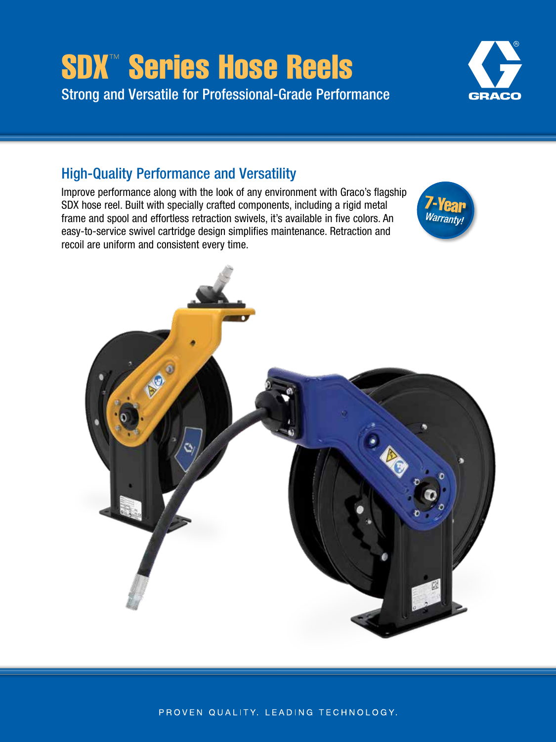# SDX™ Series Hose Reels Strong and Versatile for Professional-Grade Performance



# High-Quality Performance and Versatility

Improve performance along with the look of any environment with Graco's flagship SDX hose reel. Built with specially crafted components, including a rigid metal frame and spool and effortless retraction swivels, it's available in five colors. An easy-to-service swivel cartridge design simplifies maintenance. Retraction and recoil are uniform and consistent every time.



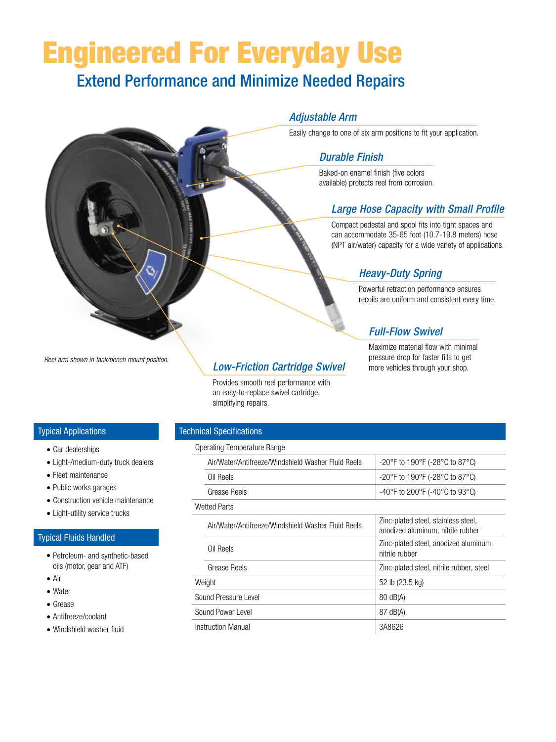# Engineered For Everyday Use

# Extend Performance and Minimize Needed Repairs

#### *Adjustable Arm*

Easily change to one of six arm positions to fit your application.

### *Durable Finish*

Baked-on enamel finish (five colors available) protects reel from corrosion.

# *Large Hose Capacity with Small Profile*

Compact pedestal and spool fits into tight spaces and can accommodate 35-65 foot (10.7-19.8 meters) hose (NPT air/water) capacity for a wide variety of applications.

# *Heavy-Duty Spring*

Powerful retraction performance ensures recoils are uniform and consistent every time.

# *Full-Flow Swivel*

Maximize material flow with minimal pressure drop for faster fills to get more vehicles through your shop.

*Reel arm shown in tank/bench mount position.*

# *Low-Friction Cartridge Swivel*

Provides smooth reel performance with an easy-to-replace swivel cartridge, simplifying repairs.

#### Typical Applications

- Car dealerships
- Light-/medium-duty truck dealers
- Fleet maintenance
- Public works garages
- Construction vehicle maintenance
- Light-utility service trucks

#### Typical Fluids Handled

- Petroleum- and synthetic-based oils (motor, gear and ATF)
- Air
- Water
- Grease
- Antifreeze/coolant
- Windshield washer fluid

#### Technical Specifications

#### Operating Temperature Range

|                   | Air/Water/Antifreeze/Windshield Washer Fluid Reels | -20°F to 190°F (-28°C to 87°C)                                           |
|-------------------|----------------------------------------------------|--------------------------------------------------------------------------|
|                   | Oil Reels                                          | -20°F to 190°F (-28°C to 87°C)                                           |
|                   | Grease Reels                                       | -40°F to 200°F (-40°C to 93°C)                                           |
|                   | Wetted Parts                                       |                                                                          |
|                   | Air/Water/Antifreeze/Windshield Washer Fluid Reels | Zinc-plated steel, stainless steel,<br>anodized aluminum, nitrile rubber |
|                   | Oil Reels                                          | Zinc-plated steel, anodized aluminum,<br>nitrile rubber                  |
|                   | Grease Reels                                       | Zinc-plated steel, nitrile rubber, steel                                 |
|                   | Weight                                             | 52 lb (23.5 kg)                                                          |
|                   | Sound Pressure Level                               | 80 dB(A)                                                                 |
| Sound Power Level |                                                    | 87 dB(A)                                                                 |
|                   | Instruction Manual                                 | 3A8626                                                                   |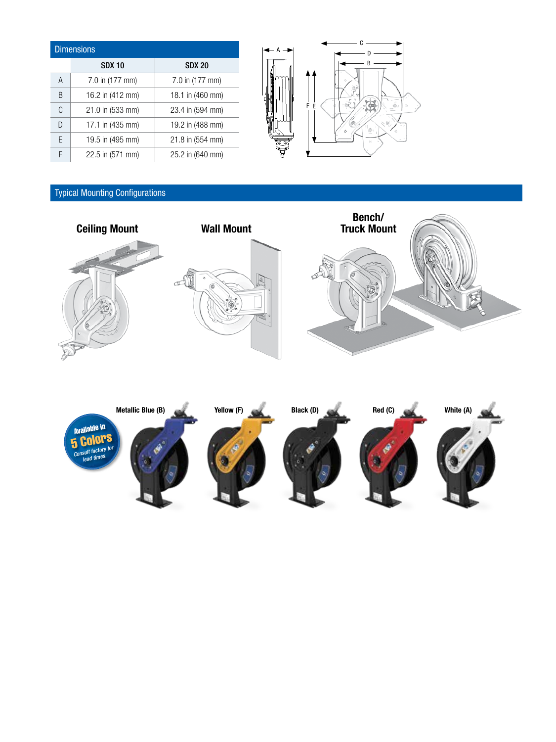| <b>Dimensions</b> |                  |                  |  |  |  |  |  |
|-------------------|------------------|------------------|--|--|--|--|--|
|                   | <b>SDX 10</b>    | <b>SDX 20</b>    |  |  |  |  |  |
| A                 | 7.0 in (177 mm)  | 7.0 in (177 mm)  |  |  |  |  |  |
| B                 | 16.2 in (412 mm) | 18.1 in (460 mm) |  |  |  |  |  |
| C                 | 21.0 in (533 mm) | 23.4 in (594 mm) |  |  |  |  |  |
| D                 | 17.1 in (435 mm) | 19.2 in (488 mm) |  |  |  |  |  |
| F                 | 19.5 in (495 mm) | 21.8 in (554 mm) |  |  |  |  |  |
| F                 | 22.5 in (571 mm) | 25.2 in (640 mm) |  |  |  |  |  |



# Typical Mounting Configurations



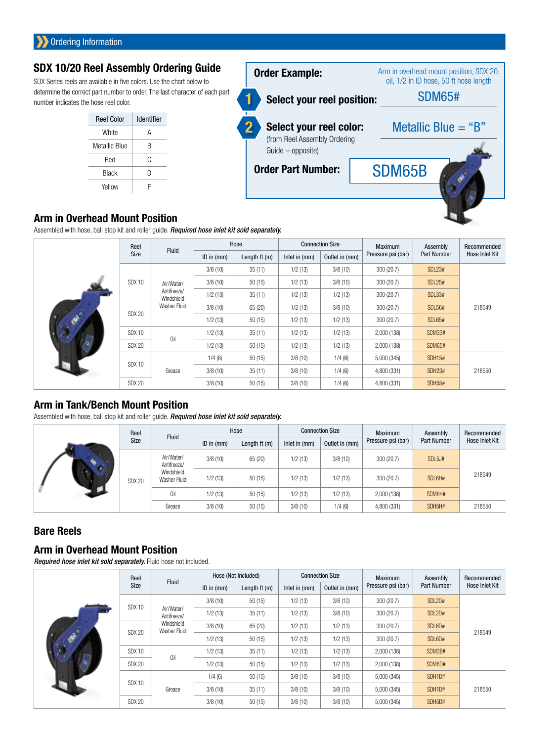# SDX 10/20 Reel Assembly Ordering Guide

SDX Series reels are available in five colors. Use the chart below to determine the correct part number to order. The last character of each part number indicates the hose reel color.

| <b>Reel Color</b> | Identifier |
|-------------------|------------|
| White             | А          |
| Metallic Blue     | R          |
| Red               | C          |
| <b>Black</b>      | D          |
| Yellow            |            |



#### Arm in Overhead Mount Position

Assembled with hose, ball stop kit and roller guide. *Required hose inlet kit sold separately.*

|  | Reel              |                           |              | Hose           |               | <b>Connection Size</b> | <b>Maximum</b>     | Assembly           | Recommended    |
|--|-------------------|---------------------------|--------------|----------------|---------------|------------------------|--------------------|--------------------|----------------|
|  | Size              | Fluid                     | ID in $(mm)$ | Length $ft(m)$ | Inlet in (mm) | Outlet in (mm)         | Pressure psi (bar) | <b>Part Number</b> | Hose Inlet Kit |
|  |                   |                           | 3/8(10)      | 35(11)         | 1/2(13)       | 3/8(10)                | 300 (20.7)         | <b>SDL23#</b>      |                |
|  | <b>SDX 10</b>     | Air/Water/                | 3/8(10)      | 50(15)         | 1/2(13)       | 3/8(10)                | 300 (20.7)         | <b>SDL25#</b>      |                |
|  |                   | Antifreeze/<br>Windshield | 1/2(13)      | 35(11)         | 1/2(13)       | 1/2(13)                | 300 (20.7)         | <b>SDL33#</b>      |                |
|  | SDX 20            | Washer Fluid              | 3/8(10)      | 65 (20)        | 1/2(13)       | 3/8(10)                | 300 (20.7)         | <b>SDL56#</b>      | 218549         |
|  |                   |                           | 1/2(13)      | 50(15)         | 1/2(13)       | 1/2(13)                | 300 (20.7)         | <b>SDL65#</b>      |                |
|  | SDX <sub>10</sub> | 0il                       | 1/2(13)      | 35(11)         | 1/2(13)       | 1/2(13)                | 2,000 (138)        | <b>SDM33#</b>      |                |
|  | <b>SDX 20</b>     |                           | 1/2(13)      | 50(15)         | 1/2(13)       | 1/2(13)                | 2,000 (138)        | <b>SDM65#</b>      |                |
|  |                   |                           | 1/4(6)       | 50(15)         | 3/8(10)       | 1/4(6)                 | 5,000 (345)        | <b>SDH15#</b>      |                |
|  | SDX <sub>10</sub> | Grease                    | 3/8(10)      | 35(11)         | 3/8(10)       | 1/4(6)                 | 4,800 (331)        | <b>SDH23#</b>      | 218550         |
|  | <b>SDX 20</b>     |                           | 3/8(10)      | 50(15)         | 3/8(10)       | 1/4(6)                 | 4,800 (331)        | <b>SDH55#</b>      |                |

# Arm in Tank/Bench Mount Position

Assembled with hose, ball stop kit and roller guide. *Required hose inlet kit sold separately.*

|  |                                                                                 | Reel<br><b>Fluid</b> | Hose           |                | <b>Connection Size</b> |                | <b>Maximum</b>     | Assembly           | Recommended    |
|--|---------------------------------------------------------------------------------|----------------------|----------------|----------------|------------------------|----------------|--------------------|--------------------|----------------|
|  | Size                                                                            |                      | $ID$ in $(mm)$ | Length $ft(m)$ | Inlet in (mm)          | Outlet in (mm) | Pressure psi (bar) | <b>Part Number</b> | Hose Inlet Kit |
|  | Air/Water/<br>Antifreeze/<br>Windshield<br>Washer Fluid<br><b>SDX 20</b><br>Oil |                      | 3/8(10)        | 65 (20)        | 1/2(13)                | 3/8(10)        | 300 (20.7)         | SDL5J#             |                |
|  |                                                                                 |                      | 1/2(13)        | 50(15)         | 1/2(13)                | 1/2(13)        | 300 (20.7)         | SDL6H#             | 218549         |
|  |                                                                                 | 1/2(13)              | 50(15)         | 1/2(13)        | 1/2(13)                | 2,000 (138)    | SDM6H#             |                    |                |
|  |                                                                                 | Grease               | 3/8(10)        | 50(15)         | 3/8(10)                | 1/4(6)         | 4,800 (331)        | SDH5H#             | 218550         |

# Bare Reels

# Arm in Overhead Mount Position

*Required hose inlet kit sold separately.* Fluid hose not included.

|  | Reel                           |                                             |                | Hose (Not Included) |                 | <b>Connection Size</b> |                    | Assembly           | Recommended    |
|--|--------------------------------|---------------------------------------------|----------------|---------------------|-----------------|------------------------|--------------------|--------------------|----------------|
|  | Size                           | Fluid                                       | $ID$ in $(mm)$ | Length $ft(m)$      | Inlet in $(mm)$ | Outlet in (mm)         | Pressure psi (bar) | <b>Part Number</b> | Hose Inlet Kit |
|  | <b>SDX 10</b>                  |                                             | 3/8(10)        | 50(15)              | 1/2(13)         | 3/8(10)                | 300 (20.7)         | SDL2D#             |                |
|  |                                | Air/Water/<br>Antifreeze/                   | 1/2(13)        | 35(11)              | 1/2(13)         | 3/8(10)                | 300 (20.7)         | SDL2D#             |                |
|  |                                | Windshield<br>Washer Fluid<br><b>SDX 20</b> | 3/8(10)        | 65 (20)             | 1/2(13)         | 1/2(13)                | 300 (20.7)         | SDL6D#             | 218549         |
|  |                                |                                             | 1/2(13)        | 50(15)              | 1/2(13)         | 1/2(13)                | 300 (20.7)         | SDL6D#             |                |
|  | SDX 10                         | Oil                                         | 1/2(13)        | 35(11)              | 1/2(13)         | 1/2(13)                | 2,000 (138)        | SDM3B#             |                |
|  | <b>SDX 20</b>                  |                                             | 1/2(13)        | 50(15)              | 1/2(13)         | 1/2(13)                | 2,000 (138)        | SDM6D#             |                |
|  |                                | Grease                                      | 1/4(6)         | 50(15)              | 3/8(10)         | 3/8(10)                | 5,000 (345)        | SDH1D#             |                |
|  | <b>SDX 10</b><br><b>SDX 20</b> |                                             | 3/8(10)        | 35(11)              | 3/8(10)         | 3/8(10)                | 5,000 (345)        | SDH1D#             | 218550         |
|  |                                |                                             | 3/8(10)        | 50(15)              | 3/8(10)         | 3/8(10)                | 5,000 (345)        | SDH5D#             |                |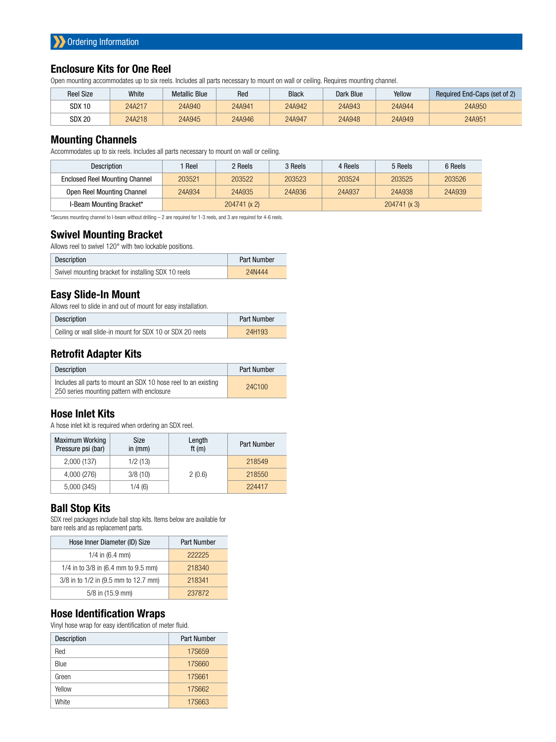### Enclosure Kits for One Reel

Open mounting accommodates up to six reels. Includes all parts necessary to mount on wall or ceiling. Requires mounting channel.

| <b>Reel Size</b> | White  | <b>Metallic Blue</b> | Red    | <b>Black</b> | Dark Blue | Yellow | Required End-Caps (set of 2) |
|------------------|--------|----------------------|--------|--------------|-----------|--------|------------------------------|
| SDX 10           | 24A217 | 24A940               | 24A941 | 24A942       | 24A943    | 24A944 | 24A950                       |
| <b>SDX 20</b>    | 24A218 | 24A945               | 24A946 | 24A947       | 24A948    | 24A949 | 24A951                       |

#### Mounting Channels

Accommodates up to six reels. Includes all parts necessary to mount on wall or ceiling.

| Description                           | Reel         | 2 Reels | 3 Reels | 4 Reels      | 5 Reels | 6 Reels |
|---------------------------------------|--------------|---------|---------|--------------|---------|---------|
| <b>Enclosed Reel Mounting Channel</b> | 203521       | 203522  | 203523  | 203524       | 203525  | 203526  |
| Open Reel Mounting Channel            | 24A934       | 24A935  | 24A936  | 24A937       | 24A938  | 24A939  |
| I-Beam Mounting Bracket*              | 204741 (x 2) |         |         | 204741 (x 3) |         |         |

\*Secures mounting channel to I-beam without drilling – 2 are required for 1-3 reels, and 3 are required for 4-6 reels.

#### Swivel Mounting Bracket

Allows reel to swivel 120° with two lockable positions.

| Description                                         | <b>Part Number</b> |
|-----------------------------------------------------|--------------------|
| Swivel mounting bracket for installing SDX 10 reels | 24N444             |

#### Easy Slide-In Mount

Allows reel to slide in and out of mount for easy installation.

| Description                                               | Part Number |
|-----------------------------------------------------------|-------------|
| Ceiling or wall slide-in mount for SDX 10 or SDX 20 reels | 24H193      |

### Retrofit Adapter Kits

| Description                                                                                                  | Part Number |
|--------------------------------------------------------------------------------------------------------------|-------------|
| Includes all parts to mount an SDX 10 hose reel to an existing<br>250 series mounting pattern with enclosure | 24C100      |

# Hose Inlet Kits

A hose inlet kit is required when ordering an SDX reel.

| <b>Maximum Working</b><br>Pressure psi (bar) | Size<br>in $(mm)$ | Length<br>ft $(m)$ | <b>Part Number</b> |
|----------------------------------------------|-------------------|--------------------|--------------------|
| 2,000 (137)                                  | 1/2(13)           | 2(0.6)             | 218549             |
| 4,000 (276)                                  | 3/8(10)           |                    | 218550             |
| 5,000 (345)                                  | 1/4(6)            |                    | 224417             |

#### Ball Stop Kits

SDX reel packages include ball stop kits. Items below are available for bare reels and as replacement parts.

| Hose Inner Diameter (ID) Size        | <b>Part Number</b> |
|--------------------------------------|--------------------|
| 1/4 in $(6.4 \text{ mm})$            | 222225             |
| 1/4 in to 3/8 in (6.4 mm to 9.5 mm)  | 218340             |
| 3/8 in to 1/2 in (9.5 mm to 12.7 mm) | 218341             |
| 5/8 in (15.9 mm)                     | 237872             |

#### Hose Identification Wraps

Vinyl hose wrap for easy identification of meter fluid.

| Description | <b>Part Number</b> |
|-------------|--------------------|
| Red         | 17S659             |
| Blue        | <b>17S660</b>      |
| Green       | <b>17S661</b>      |
| Yellow      | 17S662             |
| White       | 17S663             |